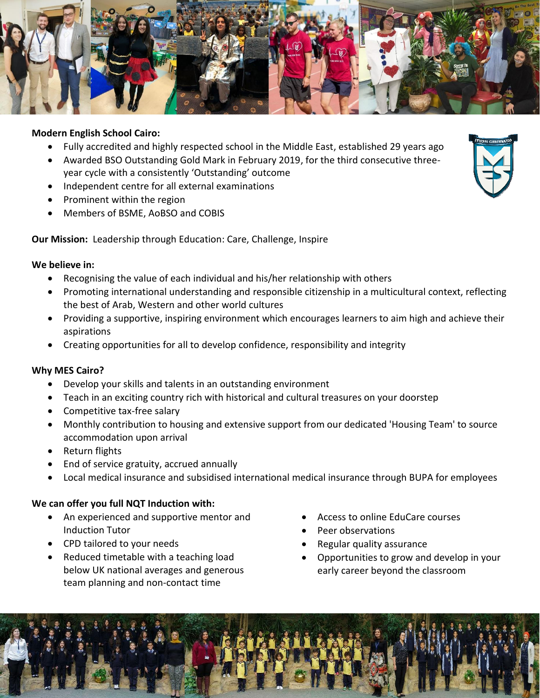

## **Modern English School Cairo:**

- Fully accredited and highly respected school in the Middle East, established 29 years ago
- Awarded BSO Outstanding Gold Mark in February 2019, for the third consecutive threeyear cycle with a consistently 'Outstanding' outcome
- Independent centre for all external examinations
- Prominent within the region
- Members of BSME, AoBSO and COBIS

**Our Mission:** Leadership through Education: Care, Challenge, Inspire

## **We believe in:**

- Recognising the value of each individual and his/her relationship with others
- Promoting international understanding and responsible citizenship in a multicultural context, reflecting the best of Arab, Western and other world cultures
- Providing a supportive, inspiring environment which encourages learners to aim high and achieve their aspirations
- Creating opportunities for all to develop confidence, responsibility and integrity

# **Why MES Cairo?**

- Develop your skills and talents in an outstanding environment
- Teach in an exciting country rich with historical and cultural treasures on your doorstep
- Competitive tax-free salary
- Monthly contribution to housing and extensive support from our dedicated 'Housing Team' to source accommodation upon arrival
- Return flights
- End of service gratuity, accrued annually
- Local medical insurance and subsidised international medical insurance through BUPA for employees

# **We can offer you full NQT Induction with:**

- An experienced and supportive mentor and Induction Tutor
- CPD tailored to your needs
- Reduced timetable with a teaching load below UK national averages and generous team planning and non-contact time
- Access to online EduCare courses
- Peer observations
- Regular quality assurance
- Opportunities to grow and develop in your early career beyond the classroom